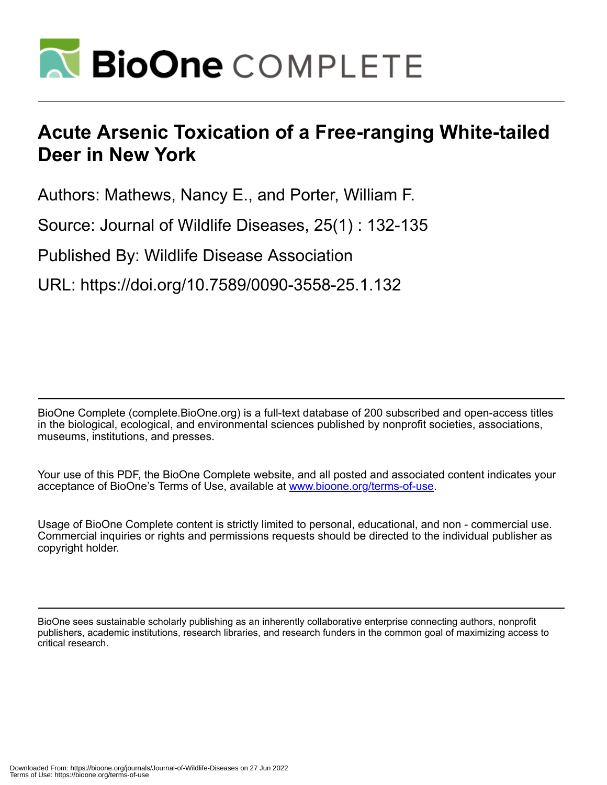

## **Acute Arsenic Toxication of a Free-ranging White-tailed Deer in New York**

Authors: Mathews, Nancy E., and Porter, William F.

Source: Journal of Wildlife Diseases, 25(1) : 132-135

Published By: Wildlife Disease Association

URL: https://doi.org/10.7589/0090-3558-25.1.132

BioOne Complete (complete.BioOne.org) is a full-text database of 200 subscribed and open-access titles in the biological, ecological, and environmental sciences published by nonprofit societies, associations, museums, institutions, and presses.

Your use of this PDF, the BioOne Complete website, and all posted and associated content indicates your acceptance of BioOne's Terms of Use, available at www.bioone.org/terms-of-use.

Usage of BioOne Complete content is strictly limited to personal, educational, and non - commercial use. Commercial inquiries or rights and permissions requests should be directed to the individual publisher as copyright holder.

BioOne sees sustainable scholarly publishing as an inherently collaborative enterprise connecting authors, nonprofit publishers, academic institutions, research libraries, and research funders in the common goal of maximizing access to critical research.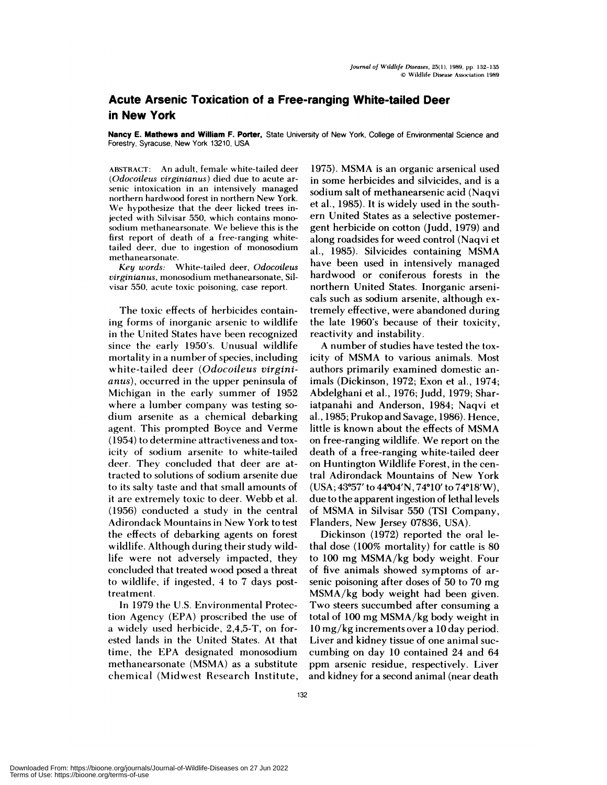## **Acute Arsenic Toxication of a Free-ranging White-tailed Deer in New York**

**Nancy E. Mathews and William F. Porter,** State University of New York, College of Environmental Science and Forestry, Syracuse, New York 13210, USA

ABSTRACT: An adult, female white-tailed deer *(Odocoileus virginianus)* died due to acute ar senic intoxication in an intensively managed northern hardwood forest in northern New York. We **hypothesize** that the deer licked trees injected with Silvisar 550, which contains mono sodium methanearsonate. We believe this is the first report of death of a free-ranging white **tailed** deer, due to ingestion of monosodium **methanearsonate.**

*Key words:* White-tailed deer, *Odocoileus virginianus,* monosodium methanearsonate, Sil visar 550, acute toxic poisoning, case report.

The toxic effects of herbicides containing forms of inorganic arsenic to wildlife in the United States have been recognized **since** the early 1950's. Unusual wildlife mortality in a number of species, including white-tailed deer *(Odocoileus virginianus),* occurred in the upper peninsula of Michigan in the early summer of 1952 where a lumber company was testing so dium arsenite as a chemical debarking agent. This prompted Boyce and Verme (1954) to determine attractiveness and toxicity of sodium arsenite to white-tailed deer. They concluded that deer are attracted to solutions of sodium arsenite due to its salty taste and that small amounts of it are extremely toxic to deer. Webb et al. (1956) conducted a study in the central Adirondack Mountains in New York to test the effects of debarking agents on forest wildlife. Although during their study wildlife were not adversely impacted, they concluded that treated wood posed a threat to wildlife, if ingested, 4 to 7 days posttreatment.

In 1979 the U.S. Environmental Protection Agency (EPA) proscribed the use of a widely used herbicide, 2,4,5-T, on forested lands in the United States. At that time, the EPA designated monosodium methanearsonate (MSMA) as a substitute chemical (Midwest Research Institute, 1975). MSMA is an organic arsenical used in some herbicides and silvicides, and is a sodium salt of methanearsenic acid (Naqvi et al. , 1985). It is widely used in the south em United States as a selective postemergent herbicide on cotton (Judd, 1979) and along roadsides for weed control (Naqvi et al., 1985). Silvicides containing MSMA have been used in intensively managed hardwood or coniferous forests in the northern United States. Inorganic arsenicals such as sodium arsenite, although extremely effective, were abandoned during the late 1960's because of their toxicity, reactivity and instability.

A number of studies have tested the toxicity of MSMA to various animals. Most authors primarily examined domestic animals (Dickinson, 1972; Exon et al., 1974; **Abdelghani** et al., 1976; Judd, 1979; Shariatpanahi and Anderson, 1984; Naqvi et al.,1985; Prukop and Savage, 1986). Hence, little is known about the effects of MSMA on free-ranging wildlife. We report on the death of a free-ranging white-tailed deer on Huntington Wildlife Forest, in the central Adirondack Mountains of New York  $(USA; 43°57' to 44°04'N, 74°10' to 74°18'W),$ due to the apparent ingestion of lethal levels of MSMA in Silvisar 550 (TSI Company, Flanders, New Jersey 07836, USA).

Dickinson (1972) reported the oral lethal dose (100% mortality) for cattle is 80 to 100 mg MSMA/kg body weight. Four of five animals showed symptoms of ar senic poisoning after doses of 50 to 70 mg MSMA/kg body weight had been given. Two steers succumbed after consuming a total of 100 mg MSMA/kg body weight in 10 mg/kg increments over a 10 day period. Liver and kidney tissue of one animal suc cumbing on day 10 contained 24 and 64 ppm arsenic residue, respectively. Liver and kidney for a second animal (near death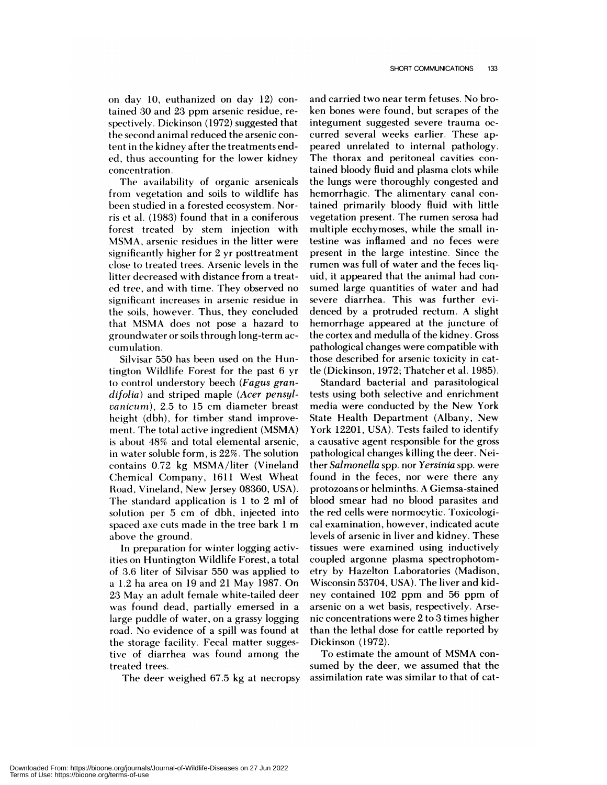on day 10, euthanized on day 12) contained 30 and 23 ppm arsenic residue, re**spectively.** Dickinson (1972) suggested that the second animal reduced the arsenic content in the kidney after the treatments ended, thus accounting for the lower kidney concentration.

The availability of organic arsenicals from vegetation and soils to wildlife has been studied in a forested ecosystem. Norris et al. (1983) found that in a coniferous forest treated by stem injection with MSMA, arsenic residues in the litter were significantly higher for 2 yr posttreatment **close** to treated trees. Arsenic levels in the litter decreased with distance from a treated tree, and with time. They observed no significant increases in arsenic residue in the soils, however. Thus, they concluded that MSMA does not pose a hazard to groundwater or soils through long-term ac cumulation.

Silvisar 550 has been used on the Huntington Wildlife Forest for the past 6 yr to control understory beech *(Fagus grandifolia)* and striped maple *(Acer pensylvanicurn),* 2.5 to 15 cm diameter breast height (dbh), for timber stand improve ment. The total active ingredient (MSMA) is about 48% and total elemental arsenic, in water soluble form, is 22%. The solution contains 0.72 kg MSMA/liter (Vineland Chemical Company, 1611 West Wheat Road, Vineland, New Jersey 08360, USA). The standard application is 1 to 2 ml of solution per 5 cm of dbh, injected into spaced axe cuts made in the tree bark 1 m above the ground.

In preparation for winter logging activities on Huntington Wildlife Forest, a total of 3.6 liter of Silvisar 550 was applied to a 1.2 ha area on 19 and 21 May 1987. On 23 May an adult female white-tailed deer was found dead, partially emersed in a large puddle of water, on a grassy logging road. No evidence of a spill was found at the storage facility. Fecal matter suggestive of diarrhea was found among the treated trees.

The deer weighed 67.5 kg at necropsy

and carried two near term fetuses.No broken bones were found, but scrapes of the integument suggested severe trauma oc curred several weeks earlier. These appeared unrelated to internal pathology. The thorax and peritoneal cavities contained bloody fluid and plasma clots while the lungs were thoroughly congested and hemorrhagic. The alimentary canal contained primarily bloody fluid with little vegetation present. The rumen serosa had multiple ecchymoses, while the small intestine was inflamed and no feces were present in the large intestine. Since the rumen was full of water and the feces liquid, it appeared that the animal had con sumed large quantities of water and had severe diarrhea. This was further evidenced by a protruded rectum. A slight hemorrhage appeared at the juncture of the cortex and medulla of the kidney. Gross pathological changes were compatible with those described for arsenic toxicity in cattle (Dickinson, 1972; Thatcher et al. 1985).

Standard bacterial and parasitological tests using both selective and enrichment media were conducted by the New York State Health Department (Albany, New York 12201, USA). Tests failed to identify a causative agent responsible for the gross pathological changes killing the deer. Neither *Salmonella* spp. nor *Yersinia* spp. were found in the feces, nor were there any protozoans or helminths. A Giemsa-stained blood smear had no blood parasites and the red cells were normocytic. Toxicological examination, however, indicated acute levels of arsenic in liver and kidney. These tissues were examined using inductively coupled argonne plasma spectrophotom  etry by Hazelton Laboratories (Madison, Wisconsin 53704, USA). The liver and kid ney contained 102 ppm and 56 ppm of arsenic on a wet basis, respectively. Arsenic concentrations were 2 to 3 times higher than the lethal dose for cattle reported by Dickinson (1972).

To estimate the amount of MSMA con sumed by the deer, we assumed that the assimilation rate was similar to that of cat-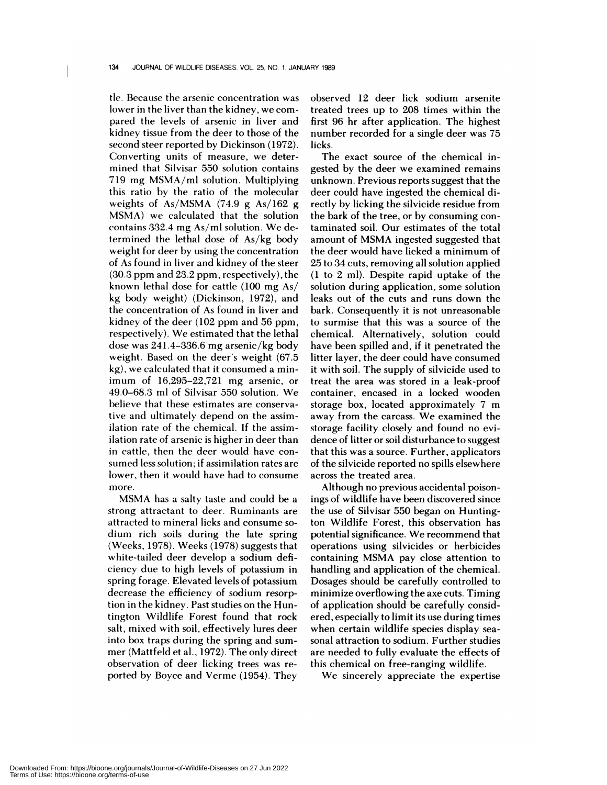tle. Because the arsenic concentration was **lower in** the liver than the kidney, we com pared the levels of arsenic in liver and kidney tissue from the deer to those of the second steer reported by Dickinson (1972). Converting units of measure, we determined that Silvisar 550 solution contains 719 mg MSMA/ml solution. Multiplying this ratio by the ratio of the molecular weights of As/MSMA  $(74.9 \text{ g}$  As/162 g MSMA) we calculated that the solution contains 332.4 mg As/ml solution. We determined the lethal dose of As/kg body weight for deer by using the concentration of As found in liver and kidney of the steer (30.3 ppm and 23.2 ppm, respectively), the known lethal dose for cattle (100 mg As/ kg body weight) (Dickinson, 1972), and the concentration of As found in liver and kidney of the deer (102 ppm and 56 ppm, respectively). We estimated that the lethal dose was 241.4-336.6 mg arsenic/kg body weight. Based on the deer's weight (67.5 kg), we calculated that it consumed a minimum of 16,295-22,721 mg arsenic, or 49.0-68.3 ml of Silvisar 550 solution. We believe that these estimates are conservative and ultimately depend on the assimilation rate of the chemical. If the assimilation rate of arsenic is higher in deer than in cattle, then the deer would have con sumed less solution; if assimilation rates are lower, then it would have had to consume more.

MSMA has a salty taste and could be a strong attractant to deer. Ruminants are attracted to mineral licks and consume so dium rich soils during the late spring (Weeks, 1978). Weeks (1978) suggests that white-tailed deer develop a sodium deficiency due to high levels of potassium in spring forage. Elevated levels of potassium decrease the efficiency of sodium resorption in the kidney. Past studies on the Huntington Wildlife Forest found that rock salt, mixed with soil, effectively lures deer into box traps during the spring and sum mer (Mattfeld et al., 1972). The only direct observation of deer licking trees was re ported by Boyce and Verme (1954). They

observed 12 deer lick sodium arsenite treated trees up to 208 times within the first 96 hr after application. The highest number recorded for a single deer was 75 licks.

The exact source of the chemical ingested by the deer we examined remains unknown. Previous reports suggest that the deer could have ingested the chemical directly by licking the silvicide residue from the bark of the tree, or by consuming contaminated soil. Our estimates of the total amount of MSMA ingested suggested that the deer would have licked a minimum of 25 to 34 cuts, removing all solution applied (1 to 2 ml). Despite rapid uptake of the solution during application, some solution leaks out of the cuts and runs down the bark. Consequently it is not unreasonable to surmise that this was a source of the chemical. Alternatively, solution could have been spilled and, if it penetrated the litter layer, the deer could have consumed it with soil. The supply of silvicide used to treat the area was stored in a leak-proof container, encased in a locked wooden storage box, located approximately 7 m away from the carcass. We examined the storage facility closely and found no evidence of litter or soil disturbance to suggest that this was a source. Further, applicators of the silvicide reported no spills elsewhere across the treated area.

Although no previous accidental poisonings of wildlife have been discovered since the use of Silvisar 550 began on Huntington Wildlife Forest, this observation has potential significance. We recommend that operations using silvicides or herbicides containing MSMA pay close attention to handling and application of the chemical. Dosages should be carefully controlled to minimize overflowing the axe cuts. Timing of application should be carefully considered, especially to limit its use during times when certain wildlife species display sea sonal attraction to sodium. Further studies are needed to fully evaluate the effects of this chemical on free-ranging wildlife.

We sincerely appreciate the expertise